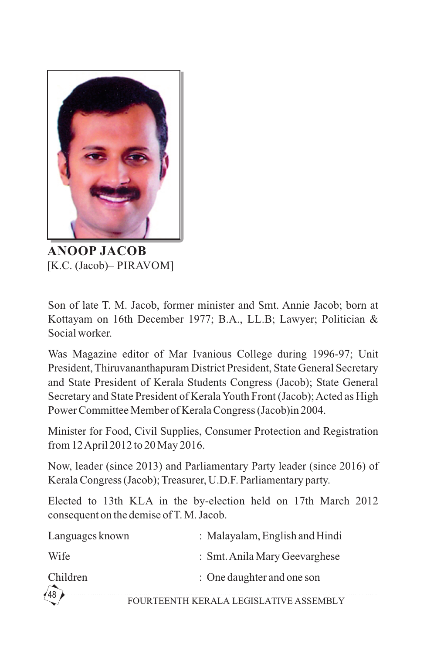

**ANOOP JACOB** [K.C. (Jacob)– PIRAVOM]

Son of late T. M. Jacob, former minister and Smt. Annie Jacob; born at Kottayam on 16th December 1977; B.A., LL.B; Lawyer; Politician & Social worker.

Was Magazine editor of Mar Ivanious College during 1996-97; Unit President, Thiruvananthapuram District President, State General Secretary and State President of Kerala Students Congress (Jacob); State General Secretary and State President of Kerala Youth Front (Jacob); Acted as High Power Committee Member of Kerala Congress (Jacob)in 2004.

Minister for Food, Civil Supplies, Consumer Protection and Registration from 12 April 2012 to 20 May 2016.

Now, leader (since 2013) and Parliamentary Party leader (since 2016) of Kerala Congress (Jacob); Treasurer, U.D.F. Parliamentary party.

Elected to 13th KLA in the by-election held on 17th March 2012 consequent on the demise of T. M. Jacob.

. . . . . . . . . . . .

| Languages known | : Malayalam, English and Hindi         |
|-----------------|----------------------------------------|
| Wife            | : Smt. Anila Mary Geevarghese          |
| Children        | : One daughter and one son             |
| $\sqrt{48}$     | FOURTEENTH KERALA LEGISLATIVE ASSEMBLY |